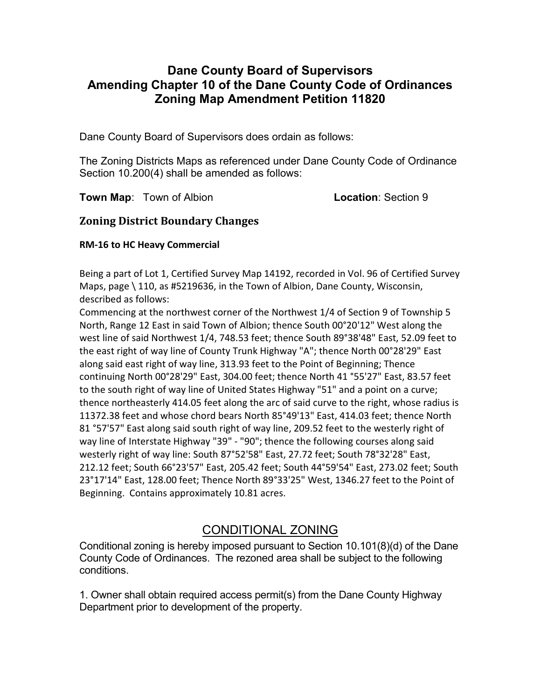# Dane County Board of Supervisors Amending Chapter 10 of the Dane County Code of Ordinances Zoning Map Amendment Petition 11820

Dane County Board of Supervisors does ordain as follows:

The Zoning Districts Maps as referenced under Dane County Code of Ordinance Section 10.200(4) shall be amended as follows:

Town Map: Town of Albion **Location: Section 9** 

## Zoning District Boundary Changes

#### RM-16 to HC Heavy Commercial

Being a part of Lot 1, Certified Survey Map 14192, recorded in Vol. 96 of Certified Survey Maps, page \ 110, as #5219636, in the Town of Albion, Dane County, Wisconsin, described as follows:

Commencing at the northwest corner of the Northwest 1/4 of Section 9 of Township 5 North, Range 12 East in said Town of Albion; thence South 00°20'12" West along the west line of said Northwest 1/4, 748.53 feet; thence South 89°38'48" East, 52.09 feet to the east right of way line of County Trunk Highway "A"; thence North 00°28'29" East along said east right of way line, 313.93 feet to the Point of Beginning; Thence continuing North 00°28'29" East, 304.00 feet; thence North 41 °55'27" East, 83.57 feet to the south right of way line of United States Highway "51" and a point on a curve; thence northeasterly 414.05 feet along the arc of said curve to the right, whose radius is 11372.38 feet and whose chord bears North 85°49'13" East, 414.03 feet; thence North 81 °57'57" East along said south right of way line, 209.52 feet to the westerly right of way line of Interstate Highway "39" - "90"; thence the following courses along said westerly right of way line: South 87°52'58" East, 27.72 feet; South 78°32'28" East, 212.12 feet; South 66°23'57" East, 205.42 feet; South 44°59'54" East, 273.02 feet; South 23°17'14" East, 128.00 feet; Thence North 89°33'25" West, 1346.27 feet to the Point of Beginning. Contains approximately 10.81 acres.

# CONDITIONAL ZONING

Conditional zoning is hereby imposed pursuant to Section 10.101(8)(d) of the Dane County Code of Ordinances. The rezoned area shall be subject to the following conditions.

1. Owner shall obtain required access permit(s) from the Dane County Highway Department prior to development of the property.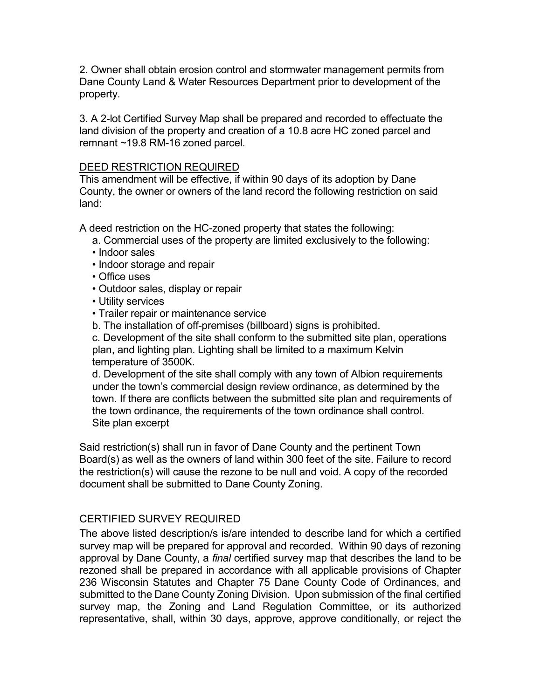2. Owner shall obtain erosion control and stormwater management permits from Dane County Land & Water Resources Department prior to development of the property.

3. A 2-lot Certified Survey Map shall be prepared and recorded to effectuate the land division of the property and creation of a 10.8 acre HC zoned parcel and remnant ~19.8 RM-16 zoned parcel.

#### DEED RESTRICTION REQUIRED

This amendment will be effective, if within 90 days of its adoption by Dane County, the owner or owners of the land record the following restriction on said land:

A deed restriction on the HC-zoned property that states the following:

- a. Commercial uses of the property are limited exclusively to the following:
- Indoor sales
- Indoor storage and repair
- Office uses
- Outdoor sales, display or repair
- Utility services
- Trailer repair or maintenance service
- b. The installation of off-premises (billboard) signs is prohibited.

 c. Development of the site shall conform to the submitted site plan, operations plan, and lighting plan. Lighting shall be limited to a maximum Kelvin temperature of 3500K.

 d. Development of the site shall comply with any town of Albion requirements under the town's commercial design review ordinance, as determined by the town. If there are conflicts between the submitted site plan and requirements of the town ordinance, the requirements of the town ordinance shall control. Site plan excerpt

Said restriction(s) shall run in favor of Dane County and the pertinent Town Board(s) as well as the owners of land within 300 feet of the site. Failure to record the restriction(s) will cause the rezone to be null and void. A copy of the recorded document shall be submitted to Dane County Zoning.

## CERTIFIED SURVEY REQUIRED

The above listed description/s is/are intended to describe land for which a certified survey map will be prepared for approval and recorded. Within 90 days of rezoning approval by Dane County, a final certified survey map that describes the land to be rezoned shall be prepared in accordance with all applicable provisions of Chapter 236 Wisconsin Statutes and Chapter 75 Dane County Code of Ordinances, and submitted to the Dane County Zoning Division. Upon submission of the final certified survey map, the Zoning and Land Regulation Committee, or its authorized representative, shall, within 30 days, approve, approve conditionally, or reject the